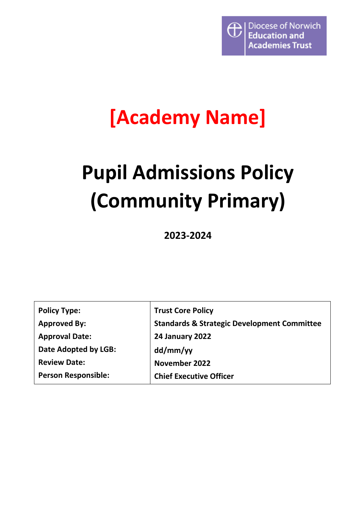

# **[Academy Name]**

# **Pupil Admissions Policy (Community Primary)**

**2023-2024**

| <b>Policy Type:</b>        | <b>Trust Core Policy</b>                               |
|----------------------------|--------------------------------------------------------|
| <b>Approved By:</b>        | <b>Standards &amp; Strategic Development Committee</b> |
| <b>Approval Date:</b>      | 24 January 2022                                        |
| Date Adopted by LGB:       | dd/mm/yy                                               |
| <b>Review Date:</b>        | November 2022                                          |
| <b>Person Responsible:</b> | <b>Chief Executive Officer</b>                         |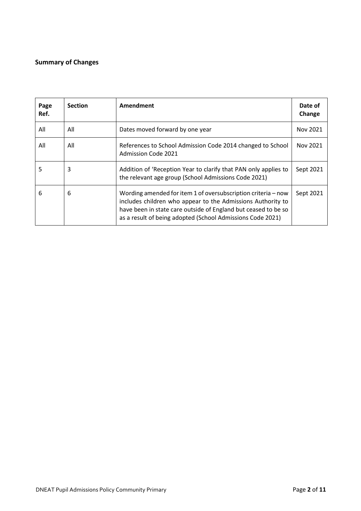### <span id="page-1-0"></span>**Summary of Changes**

| Page<br>Ref. | <b>Section</b> | Amendment                                                                                                                                                                                                                                                    | Date of<br>Change |
|--------------|----------------|--------------------------------------------------------------------------------------------------------------------------------------------------------------------------------------------------------------------------------------------------------------|-------------------|
| All          | All            | Dates moved forward by one year                                                                                                                                                                                                                              | Nov 2021          |
| All          | All            | References to School Admission Code 2014 changed to School<br><b>Admission Code 2021</b>                                                                                                                                                                     | Nov 2021          |
| 5            | 3              | Addition of 'Reception Year to clarify that PAN only applies to<br>the relevant age group (School Admissions Code 2021)                                                                                                                                      | Sept 2021         |
| 6            | 6              | Wording amended for item 1 of oversubscription criteria - now<br>includes children who appear to the Admissions Authority to<br>have been in state care outside of England but ceased to be so<br>as a result of being adopted (School Admissions Code 2021) | Sept 2021         |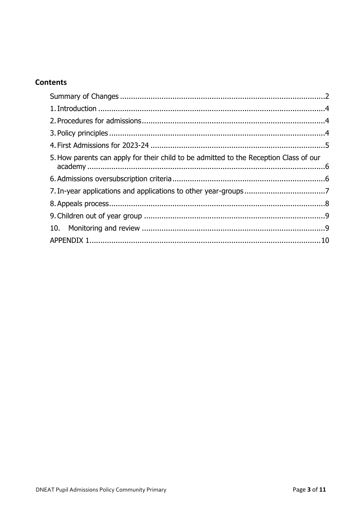## **Contents**

| 5. How parents can apply for their child to be admitted to the Reception Class of our |  |
|---------------------------------------------------------------------------------------|--|
|                                                                                       |  |
|                                                                                       |  |
|                                                                                       |  |
|                                                                                       |  |
|                                                                                       |  |
|                                                                                       |  |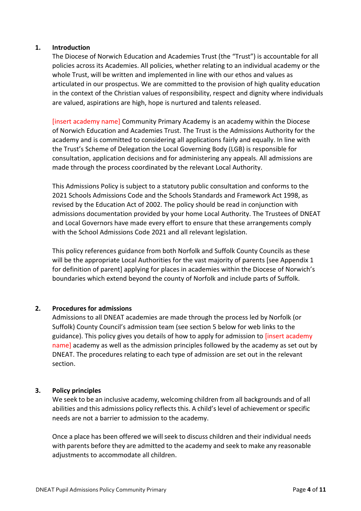#### <span id="page-3-0"></span>**1. Introduction**

The Diocese of Norwich Education and Academies Trust (the "Trust") is accountable for all policies across its Academies. All policies, whether relating to an individual academy or the whole Trust, will be written and implemented in line with our ethos and values as articulated in our prospectus. We are committed to the provision of high quality education in the context of the Christian values of responsibility, respect and dignity where individuals are valued, aspirations are high, hope is nurtured and talents released.

[insert academy name] Community Primary Academy is an academy within the Diocese of Norwich Education and Academies Trust. The Trust is the Admissions Authority for the academy and is committed to considering all applications fairly and equally. In line with the Trust's Scheme of Delegation the Local Governing Body (LGB) is responsible for consultation, application decisions and for administering any appeals. All admissions are made through the process coordinated by the relevant Local Authority.

This Admissions Policy is subject to a statutory public consultation and conforms to the 2021 Schools Admissions Code and the Schools Standards and Framework Act 1998, as revised by the Education Act of 2002. The policy should be read in conjunction with admissions documentation provided by your home Local Authority. The Trustees of DNEAT and Local Governors have made every effort to ensure that these arrangements comply with the School Admissions Code 2021 and all relevant legislation.

This policy references guidance from both Norfolk and Suffolk County Councils as these will be the appropriate Local Authorities for the vast majority of parents [see Appendix 1 for definition of parent] applying for places in academies within the Diocese of Norwich's boundaries which extend beyond the county of Norfolk and include parts of Suffolk.

#### <span id="page-3-1"></span>**2. Procedures for admissions**

Admissions to all DNEAT academies are made through the process led by Norfolk (or Suffolk) County Council's admission team (see section 5 below for web links to the guidance). This policy gives you details of how to apply for admission to *[insert academy* name] academy as well as the admission principles followed by the academy as set out by DNEAT. The procedures relating to each type of admission are set out in the relevant section.

#### <span id="page-3-2"></span>**3. Policy principles**

We seek to be an inclusive academy, welcoming children from all backgrounds and of all abilities and this admissions policy reflects this. A child's level of achievement or specific needs are not a barrier to admission to the academy.

Once a place has been offered we will seek to discuss children and their individual needs with parents before they are admitted to the academy and seek to make any reasonable adjustments to accommodate all children.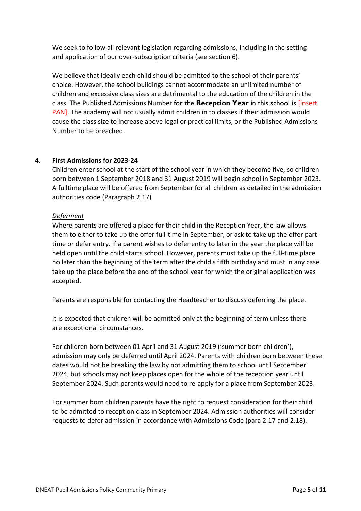We seek to follow all relevant legislation regarding admissions, including in the setting and application of our over-subscription criteria (see section 6).

We believe that ideally each child should be admitted to the school of their parents' choice. However, the school buildings cannot accommodate an unlimited number of children and excessive class sizes are detrimental to the education of the children in the class. The Published Admissions Number for the **Reception Year** in this school is [insert PAN]. The academy will not usually admit children in to classes if their admission would cause the class size to increase above legal or practical limits, or the Published Admissions Number to be breached.

#### <span id="page-4-0"></span>**4. First Admissions for 2023-24**

Children enter school at the start of the school year in which they become five, so children born between 1 September 2018 and 31 August 2019 will begin school in September 2023. A fulltime place will be offered from September for all children as detailed in the admission authorities code (Paragraph 2.17)

#### *Deferment*

Where parents are offered a place for their child in the Reception Year, the law allows them to either to take up the offer full-time in September, or ask to take up the offer parttime or defer entry. If a parent wishes to defer entry to later in the year the place will be held open until the child starts school. However, parents must take up the full-time place no later than the beginning of the term after the child's fifth birthday and must in any case take up the place before the end of the school year for which the original application was accepted.

Parents are responsible for contacting the Headteacher to discuss deferring the place.

It is expected that children will be admitted only at the beginning of term unless there are exceptional circumstances*.*

For children born between 01 April and 31 August 2019 ('summer born children'), admission may only be deferred until April 2024. Parents with children born between these dates would not be breaking the law by not admitting them to school until September 2024, but schools may not keep places open for the whole of the reception year until September 2024. Such parents would need to re-apply for a place from September 2023.

For summer born children parents have the right to request consideration for their child to be admitted to reception class in September 2024. Admission authorities will consider requests to defer admission in accordance with Admissions Code (para 2.17 and 2.18).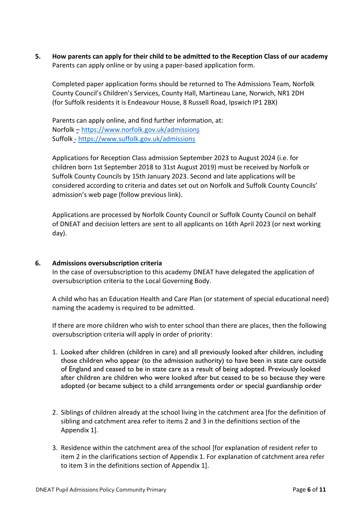<span id="page-5-0"></span>**5. How parents can apply for their child to be admitted to the Reception Class of our academy** Parents can apply online or by using a paper-based application form.

Completed paper application forms should be returned to The Admissions Team, Norfolk County Council's Children's Services, County Hall, Martineau Lane, Norwich, NR1 2DH (for Suffolk residents it is Endeavour House, 8 Russell Road, Ipswich IP1 2BX)

Parents can apply online, and find further information, at: Norfolk – <https://www.norfolk.gov.uk/admissions> Suffolk - <https://www.suffolk.gov.uk/admissions>

Applications for Reception Class admission September 2023 to August 2024 (i.e. for children born 1st September 2018 to 31st August 2019) must be received by Norfolk or Suffolk County Councils by 15th January 2023. Second and late applications will be considered according to criteria and dates set out on Norfolk and Suffolk County Councils' admission's web page (follow previous link).

Applications are processed by Norfolk County Council or Suffolk County Council on behalf of DNEAT and decision letters are sent to all applicants on 16th April 2023 (or next working day).

#### <span id="page-5-1"></span>**6. Admissions oversubscription criteria**

In the case of oversubscription to this academy DNEAT have delegated the application of oversubscription criteria to the Local Governing Body.

A child who has an Education Health and Care Plan (or statement of special educational need) naming the academy is required to be admitted.

If there are more children who wish to enter school than there are places, then the following oversubscription criteria will apply in order of priority:

- 1. Looked after children (children in care) and all previously looked after children, including those children who appear (to the admission authority) to have been in state care outside of England and ceased to be in state care as a result of being adopted. Previously looked after children are children who were looked after but ceased to be so because they were adopted (or became subject to a child arrangements order or special guardianship order
- 2. Siblings of children already at the school living in the catchment area [for the definition of sibling and catchment area refer to items 2 and 3 in the definitions section of the Appendix 1].
- 3. Residence within the catchment area of the school [for explanation of resident refer to item 2 in the clarifications section of Appendix 1. For explanation of catchment area refer to item 3 in the definitions section of Appendix 1].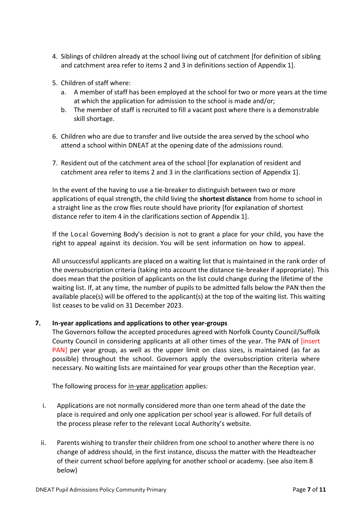- 4. Siblings of children already at the school living out of catchment [for definition of sibling and catchment area refer to items 2 and 3 in definitions section of Appendix 1].
- 5. Children of staff where:
	- a. A member of staff has been employed at the school for two or more years at the time at which the application for admission to the school is made and/or;
	- b. The member of staff is recruited to fill a vacant post where there is a demonstrable skill shortage.
- 6. Children who are due to transfer and live outside the area served by the school who attend a school within DNEAT at the opening date of the admissions round.
- 7. Resident out of the catchment area of the school [for explanation of resident and catchment area refer to items 2 and 3 in the clarifications section of Appendix 1].

In the event of the having to use a tie-breaker to distinguish between two or more applications of equal strength, the child living the **shortest distance** from home to school in a straight line as the crow flies route should have priority [for explanation of shortest distance refer to item 4 in the clarifications section of Appendix 1].

If the Local Governing Body's decision is not to grant a place for your child, you have the right to appeal against its decision. You will be sent information on how to appeal.

All unsuccessful applicants are placed on a waiting list that is maintained in the rank order of the oversubscription criteria (taking into account the distance tie-breaker if appropriate). This does mean that the position of applicants on the list could change during the lifetime of the waiting list. If, at any time, the number of pupils to be admitted falls below the PAN then the available place(s) will be offered to the applicant(s) at the top of the waiting list. This waiting list ceases to be valid on 31 December 2023.

#### <span id="page-6-0"></span>**7. In-year applications and applications to other year-groups**

The Governors follow the accepted procedures agreed with Norfolk County Council/Suffolk County Council in considering applicants at all other times of the year. The PAN of [insert PAN] per year group, as well as the upper limit on class sizes, is maintained (as far as possible) throughout the school. Governors apply the oversubscription criteria where necessary. No waiting lists are maintained for year groups other than the Reception year.

The following process for in-year application applies:

- i. Applications are not normally considered more than one term ahead of the date the place is required and only one application per school year is allowed. For full details of the process please refer to the relevant Local Authority's website.
- ii. Parents wishing to transfer their children from one school to another where there is no change of address should, in the first instance, discuss the matter with the Headteacher of their current school before applying for another school or academy. (see also item 8 below)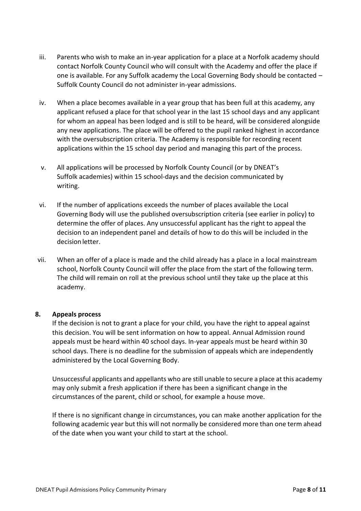- iii. Parents who wish to make an in-year application for a place at a Norfolk academy should contact Norfolk County Council who will consult with the Academy and offer the place if one is available. For any Suffolk academy the Local Governing Body should be contacted – Suffolk County Council do not administer in-year admissions.
- iv. When a place becomes available in a year group that has been full at this academy, any applicant refused a place for that school year in the last 15 school days and any applicant for whom an appeal has been lodged and is still to be heard, will be considered alongside any new applications. The place will be offered to the pupil ranked highest in accordance with the oversubscription criteria. The Academy is responsible for recording recent applications within the 15 school day period and managing this part of the process.
- v. All applications will be processed by Norfolk County Council (or by DNEAT's Suffolk academies) within 15 school-days and the decision communicated by writing.
- vi. If the number of applications exceeds the number of places available the Local Governing Body will use the published oversubscription criteria (see earlier in policy) to determine the offer of places. Any unsuccessful applicant has the right to appeal the decision to an independent panel and details of how to do this will be included in the decision letter.
- vii. When an offer of a place is made and the child already has a place in a local mainstream school, Norfolk County Council will offer the place from the start of the following term. The child will remain on roll at the previous school until they take up the place at this academy.

#### <span id="page-7-0"></span>**8. Appeals process**

If the decision is not to grant a place for your child, you have the right to appeal against this decision. You will be sent information on how to appeal. Annual Admission round appeals must be heard within 40 school days. In-year appeals must be heard within 30 school days. There is no deadline for the submission of appeals which are independently administered by the Local Governing Body.

Unsuccessful applicants and appellants who are still unable to secure a place at this academy may only submit a fresh application if there has been a significant change in the circumstances of the parent, child or school, for example a house move.

If there is no significant change in circumstances, you can make another application for the following academic year but this will not normally be considered more than one term ahead of the date when you want your child to start at the school.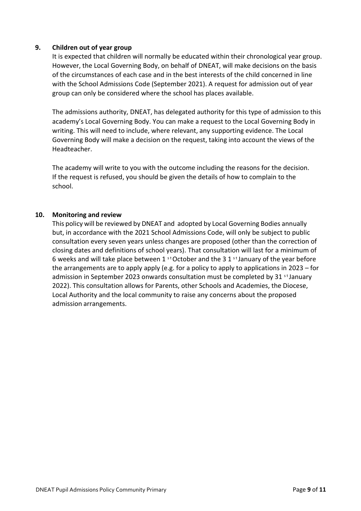#### <span id="page-8-0"></span>**9. Children out of year group**

It is expected that children will normally be educated within their chronological year group. However, the Local Governing Body, on behalf of DNEAT, will make decisions on the basis of the circumstances of each case and in the best interests of the child concerned in line with the School Admissions Code (September 2021). A request for admission out of year group can only be considered where the school has places available.

The admissions authority, DNEAT, has delegated authority for this type of admission to this academy's Local Governing Body. You can make a request to the Local Governing Body in writing. This will need to include, where relevant, any supporting evidence. The Local Governing Body will make a decision on the request, taking into account the views of the Headteacher.

The academy will write to you with the outcome including the reasons for the decision. If the request is refused, you should be given the details of how to complain to the school.

#### <span id="page-8-1"></span>**10. Monitoring and review**

This policy will be reviewed by DNEAT and adopted by Local Governing Bodies annually but, in accordance with the 2021 School Admissions Code, will only be subject to public consultation every seven years unless changes are proposed (other than the correction of closing dates and definitions of school years). That consultation will last for a minimum of 6 weeks and will take place between 1  $^{\text{st}}$  October and the 3 1  $^{\text{st}}$  January of the year before the arrangements are to apply apply (e.g. for a policy to apply to applications in 2023 – for admission in September 2023 onwards consultation must be completed by 31  $\mathrm{^{s}t}$  January 2022). This consultation allows for Parents, other Schools and Academies, the Diocese, Local Authority and the local community to raise any concerns about the proposed admission arrangements.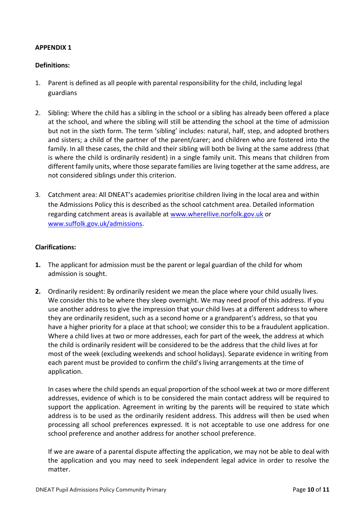#### <span id="page-9-0"></span>**APPENDIX 1**

#### **Definitions:**

- 1. Parent is defined as all people with parental responsibility for the child, including legal guardians
- 2. Sibling: Where the child has a sibling in the school or a sibling has already been offered a place at the school, and where the sibling will still be attending the school at the time of admission but not in the sixth form. The term 'sibling' includes: natural, half, step, and adopted brothers and sisters; a child of the partner of the parent/carer; and children who are fostered into the family. In all these cases, the child and their sibling will both be living at the same address (that is where the child is ordinarily resident) in a single family unit. This means that children from different family units, where those separate families are living together at the same address, are not considered siblings under this criterion.
- 3. Catchment area: All DNEAT's academies prioritise children living in the local area and within the Admissions Policy this is described as the school catchment area. Detailed information regarding catchment areas is available at www.wherellive.norfolk.gov.uk or [www.suffolk.gov.uk/admissions.](http://www.suffolk.gov.uk/admissions)

#### **Clarifications:**

- **1.** The applicant for admission must be the parent or legal guardian of the child for whom admission is sought.
- **2.** Ordinarily resident: By ordinarily resident we mean the place where your child usually lives. We consider this to be where they sleep overnight. We may need proof of this address. If you use another address to give the impression that your child lives at a different address to where they are ordinarily resident, such as a second home or a grandparent's address, so that you have a higher priority for a place at that school; we consider this to be a fraudulent application. Where a child lives at two or more addresses, each for part of the week, the address at which the child is ordinarily resident will be considered to be the address that the child lives at for most of the week (excluding weekends and school holidays). Separate evidence in writing from each parent must be provided to confirm the child's living arrangements at the time of application.

In cases where the child spends an equal proportion of the school week at two or more different addresses, evidence of which is to be considered the main contact address will be required to support the application. Agreement in writing by the parents will be required to state which address is to be used as the ordinarily resident address. This address will then be used when processing all school preferences expressed. It is not acceptable to use one address for one school preference and another address for another school preference.

If we are aware of a parental dispute affecting the application, we may not be able to deal with the application and you may need to seek independent legal advice in order to resolve the matter.